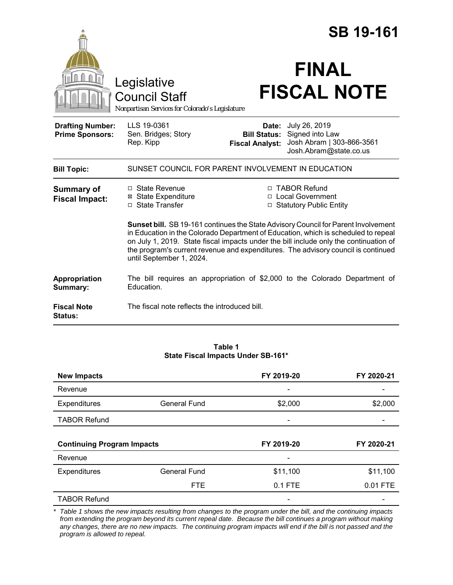|                                                   |                                                                                                                                                                                                                                                                                                                                                                                    |                                                        | <b>SB 19-161</b>                                                                        |
|---------------------------------------------------|------------------------------------------------------------------------------------------------------------------------------------------------------------------------------------------------------------------------------------------------------------------------------------------------------------------------------------------------------------------------------------|--------------------------------------------------------|-----------------------------------------------------------------------------------------|
|                                                   | Legislative<br><b>Council Staff</b><br>Nonpartisan Services for Colorado's Legislature                                                                                                                                                                                                                                                                                             |                                                        | <b>FINAL</b><br><b>FISCAL NOTE</b>                                                      |
| <b>Drafting Number:</b><br><b>Prime Sponsors:</b> | LLS 19-0361<br>Sen. Bridges; Story<br>Rep. Kipp                                                                                                                                                                                                                                                                                                                                    | Date:<br><b>Bill Status:</b><br><b>Fiscal Analyst:</b> | July 26, 2019<br>Signed into Law<br>Josh Abram   303-866-3561<br>Josh.Abram@state.co.us |
| <b>Bill Topic:</b>                                | SUNSET COUNCIL FOR PARENT INVOLVEMENT IN EDUCATION                                                                                                                                                                                                                                                                                                                                 |                                                        |                                                                                         |
| <b>Summary of</b><br><b>Fiscal Impact:</b>        | $\Box$ State Revenue<br><b>⊠</b> State Expenditure<br>□ State Transfer                                                                                                                                                                                                                                                                                                             |                                                        | □ TABOR Refund<br>□ Local Government<br>□ Statutory Public Entity                       |
|                                                   | Sunset bill. SB 19-161 continues the State Advisory Council for Parent Involvement<br>in Education in the Colorado Department of Education, which is scheduled to repeal<br>on July 1, 2019. State fiscal impacts under the bill include only the continuation of<br>the program's current revenue and expenditures. The advisory council is continued<br>until September 1, 2024. |                                                        |                                                                                         |
| Appropriation<br>Summary:                         | Education.                                                                                                                                                                                                                                                                                                                                                                         |                                                        | The bill requires an appropriation of \$2,000 to the Colorado Department of             |
| <b>Fiscal Note</b><br>Status:                     | The fiscal note reflects the introduced bill.                                                                                                                                                                                                                                                                                                                                      |                                                        |                                                                                         |

#### **Table 1 State Fiscal Impacts Under SB-161\***

| <b>New Impacts</b>                |                     | FY 2019-20 | FY 2020-21 |
|-----------------------------------|---------------------|------------|------------|
| Revenue                           |                     |            |            |
| Expenditures                      | <b>General Fund</b> | \$2,000    | \$2,000    |
| <b>TABOR Refund</b>               |                     |            |            |
|                                   |                     |            |            |
|                                   |                     |            |            |
| <b>Continuing Program Impacts</b> |                     | FY 2019-20 | FY 2020-21 |
| Revenue                           |                     |            |            |
| Expenditures                      | <b>General Fund</b> | \$11,100   | \$11,100   |
|                                   | <b>FTE</b>          | 0.1 FTE    | 0.01 FTE   |

*<sup>\*</sup> Table 1 shows the new impacts resulting from changes to the program under the bill, and the continuing impacts from extending the program beyond its current repeal date. Because the bill continues a program without making any changes, there are no new impacts. The continuing program impacts will end if the bill is not passed and the program is allowed to repeal.*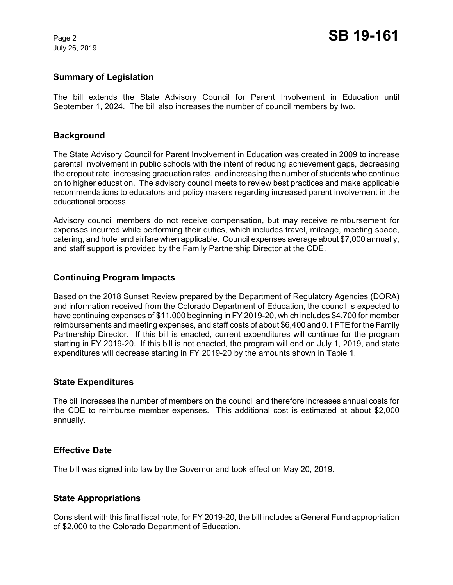July 26, 2019

### **Summary of Legislation**

The bill extends the State Advisory Council for Parent Involvement in Education until September 1, 2024. The bill also increases the number of council members by two.

# **Background**

The State Advisory Council for Parent Involvement in Education was created in 2009 to increase parental involvement in public schools with the intent of reducing achievement gaps, decreasing the dropout rate, increasing graduation rates, and increasing the number of students who continue on to higher education. The advisory council meets to review best practices and make applicable recommendations to educators and policy makers regarding increased parent involvement in the educational process.

Advisory council members do not receive compensation, but may receive reimbursement for expenses incurred while performing their duties, which includes travel, mileage, meeting space, catering, and hotel and airfare when applicable. Council expenses average about \$7,000 annually, and staff support is provided by the Family Partnership Director at the CDE.

# **Continuing Program Impacts**

Based on the 2018 Sunset Review prepared by the Department of Regulatory Agencies (DORA) and information received from the Colorado Department of Education, the council is expected to have continuing expenses of \$11,000 beginning in FY 2019-20, which includes \$4,700 for member reimbursements and meeting expenses, and staff costs of about \$6,400 and 0.1 FTE for the Family Partnership Director. If this bill is enacted, current expenditures will continue for the program starting in FY 2019-20. If this bill is not enacted, the program will end on July 1, 2019, and state expenditures will decrease starting in FY 2019-20 by the amounts shown in Table 1.

#### **State Expenditures**

The bill increases the number of members on the council and therefore increases annual costs for the CDE to reimburse member expenses. This additional cost is estimated at about \$2,000 annually.

#### **Effective Date**

The bill was signed into law by the Governor and took effect on May 20, 2019.

#### **State Appropriations**

Consistent with this final fiscal note, for FY 2019-20, the bill includes a General Fund appropriation of \$2,000 to the Colorado Department of Education.